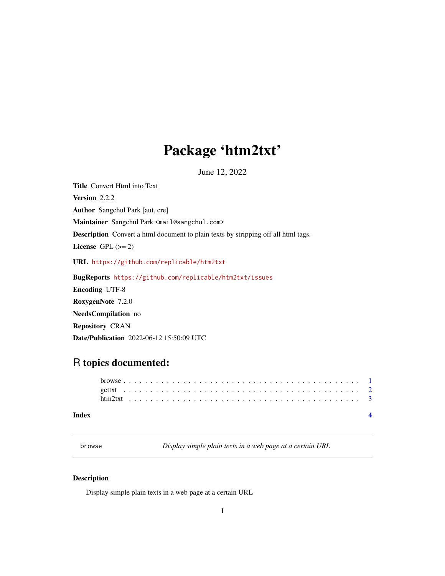## <span id="page-0-0"></span>Package 'htm2txt'

June 12, 2022

Title Convert Html into Text Version 2.2.2 Author Sangchul Park [aut, cre] Maintainer Sangchul Park <mail@sangchul.com> Description Convert a html document to plain texts by stripping off all html tags. License GPL  $(>= 2)$ URL <https://github.com/replicable/htm2txt> BugReports <https://github.com/replicable/htm2txt/issues> Encoding UTF-8 RoxygenNote 7.2.0 NeedsCompilation no Repository CRAN

Date/Publication 2022-06-12 15:50:09 UTC

### R topics documented:

#### **Index** [4](#page-3-0)

browse *Display simple plain texts in a web page at a certain URL*

#### Description

Display simple plain texts in a web page at a certain URL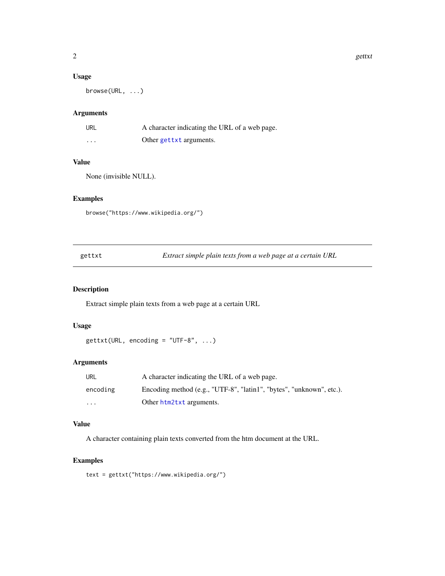#### <span id="page-1-0"></span>Usage

browse(URL, ...)

#### Arguments

| URL                     | A character indicating the URL of a web page. |
|-------------------------|-----------------------------------------------|
| $\cdot$ $\cdot$ $\cdot$ | Other gettxt arguments.                       |

#### Value

None (invisible NULL).

#### Examples

```
browse("https://www.wikipedia.org/")
```
<span id="page-1-1"></span>

| gettxt | Extract simple plain texts from a web page at a certain URL |  |
|--------|-------------------------------------------------------------|--|
|        |                                                             |  |

#### Description

Extract simple plain texts from a web page at a certain URL

#### Usage

 $gettxt(URL, encoding = "UTE-8", ...)$ 

#### Arguments

| URL      | A character indicating the URL of a web page.                        |
|----------|----------------------------------------------------------------------|
| encoding | Encoding method (e.g., "UTF-8", "latin1", "bytes", "unknown", etc.). |
| .        | Other htm2txt arguments.                                             |

#### Value

A character containing plain texts converted from the htm document at the URL.

#### Examples

text = gettxt("https://www.wikipedia.org/")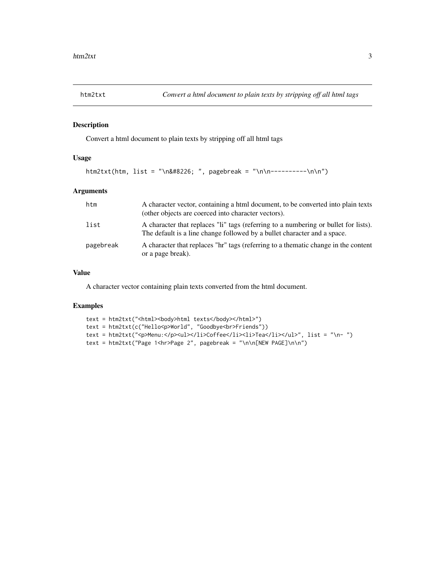<span id="page-2-1"></span><span id="page-2-0"></span>

#### Description

Convert a html document to plain texts by stripping off all html tags

#### Usage

```
htm2txt(htm, list = "\n• ", pagebreak = "\n\n----------\n\n")
```
#### Arguments

| htm       | A character vector, containing a html document, to be converted into plain texts<br>(other objects are coerced into character vectors).                         |
|-----------|-----------------------------------------------------------------------------------------------------------------------------------------------------------------|
| list      | A character that replaces "li" tags (referring to a numbering or bullet for lists).<br>The default is a line change followed by a bullet character and a space. |
| pagebreak | A character that replaces "hr" tags (referring to a thematic change in the content<br>or a page break).                                                         |

#### Value

A character vector containing plain texts converted from the html document.

#### Examples

```
text = htm2txt("<html><body>html texts</body></html>")
text = htm2txt(c("Hello<p>World", "Goodbye<br>Friends"))
text = htm2txt("<p>Menu:</p><ul></li></li>Coffee</li><li>Tea</li></ul>", list = "\n- ")
text = htm2txt("Page 1<hr>Page 2", pagebreak = "\n\n[NEW PAGE]\n\n")
```